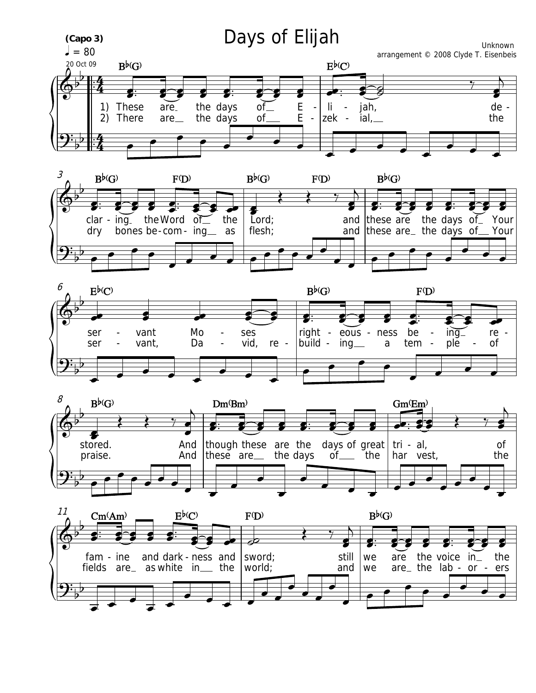







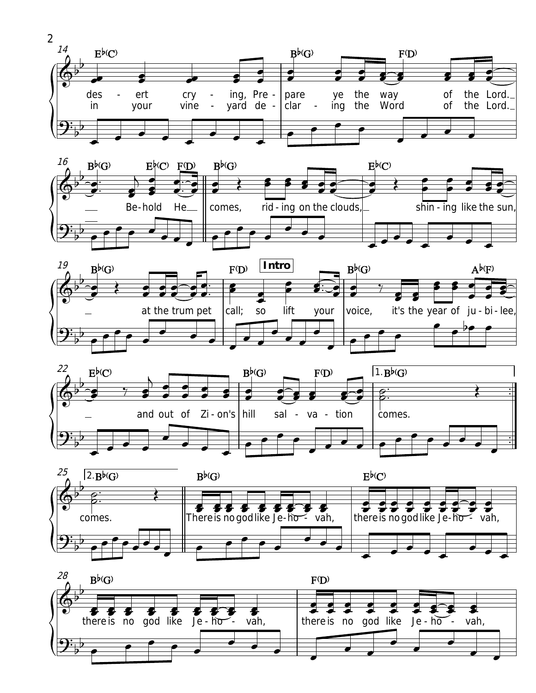